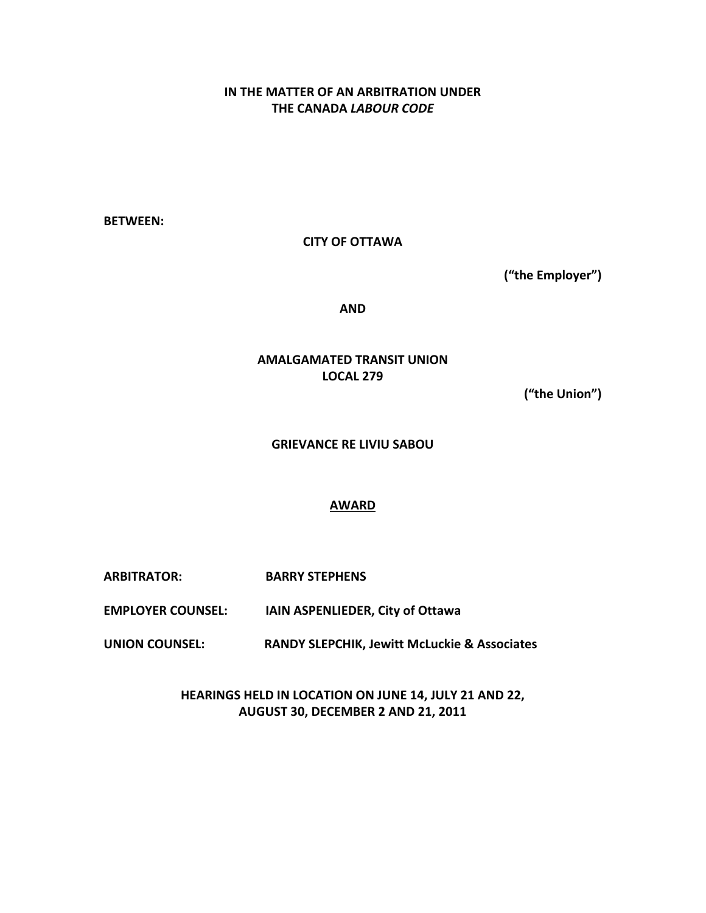# **IN THE MATTER OF AN ARBITRATION UNDER THE CANADA** *LABOUR CODE*

**BETWEEN:**

**CITY OF OTTAWA**

("the Employer")

**AND**

**AMALGAMATED TRANSIT UNION LOCAL 279**

**("the Union")**

**GRIEVANCE RE LIVIU SABOU** 

## **AWARD**

**ARBITRATOR: BARRY STEPHENS**

**EMPLOYER COUNSEL: IAIN ASPENLIEDER, City of Ottawa** 

**FORDIATION: FOR THE INION COUNSEL: RANDY SLEPCHIK, Jewitt McLuckie & Associates** 

HEARINGS HELD IN LOCATION ON JUNE 14, JULY 21 AND 22, **AUGUST 30, DECEMBER 2 AND 21, 2011**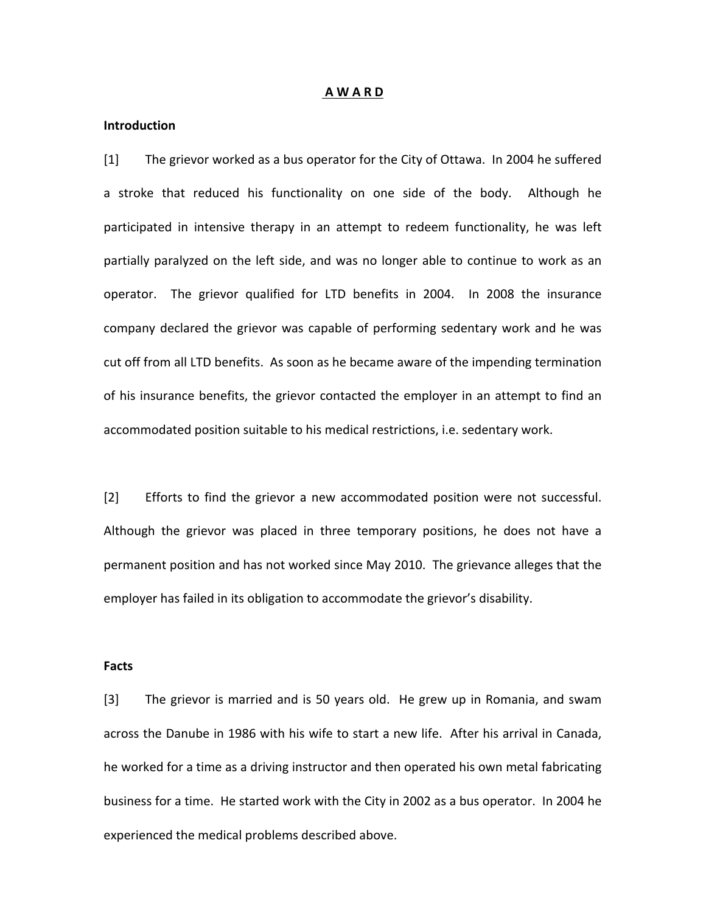#### **A W A R D**

#### **Introduction**

[1] The grievor worked as a bus operator for the City of Ottawa. In 2004 he suffered a stroke that reduced his functionality on one side of the body. Although he participated in intensive therapy in an attempt to redeem functionality, he was left partially paralyzed on the left side, and was no longer able to continue to work as an operator. The grievor qualified for LTD benefits in 2004. In 2008 the insurance company declared the grievor was capable of performing sedentary work and he was cut off from all LTD benefits. As soon as he became aware of the impending termination of his insurance benefits, the grievor contacted the employer in an attempt to find an accommodated position suitable to his medical restrictions, i.e. sedentary work.

[2] Efforts to find the grievor a new accommodated position were not successful. Although the grievor was placed in three temporary positions, he does not have a permanent position and has not worked since May 2010. The grievance alleges that the employer has failed in its obligation to accommodate the grievor's disability.

#### **Facts**

[3] The grievor is married and is 50 years old. He grew up in Romania, and swam across the Danube in 1986 with his wife to start a new life. After his arrival in Canada, he worked for a time as a driving instructor and then operated his own metal fabricating business for a time. He started work with the City in 2002 as a bus operator. In 2004 he experienced the medical problems described above.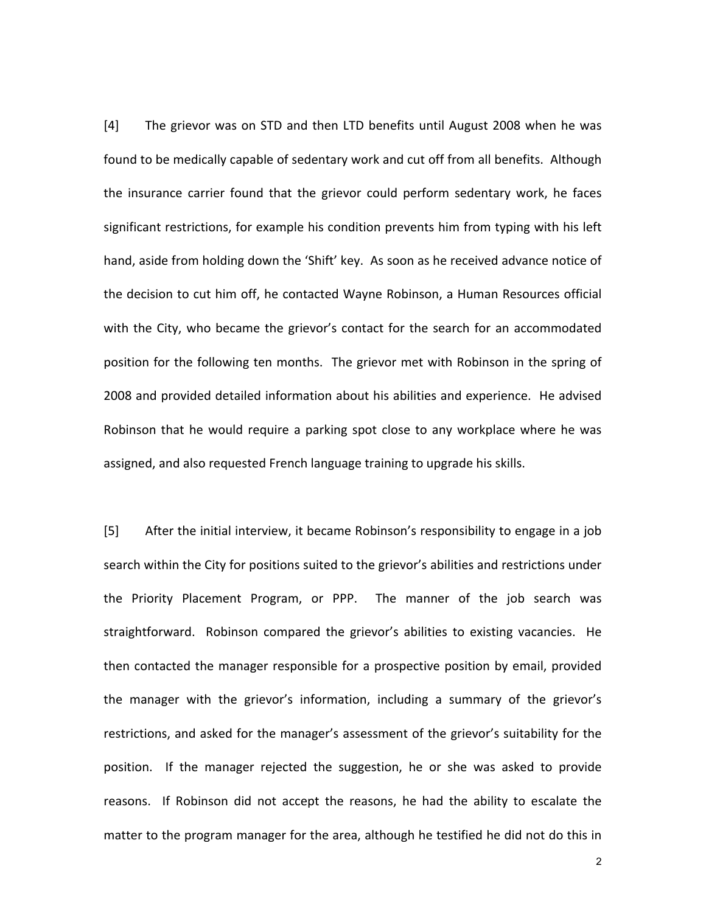[4] The grievor was on STD and then LTD benefits until August 2008 when he was found to be medically capable of sedentary work and cut off from all benefits. Although the insurance carrier found that the grievor could perform sedentary work, he faces significant restrictions, for example his condition prevents him from typing with his left hand, aside from holding down the 'Shift' key. As soon as he received advance notice of the decision to cut him off, he contacted Wayne Robinson, a Human Resources official with the City, who became the grievor's contact for the search for an accommodated position for the following ten months. The grievor met with Robinson in the spring of 2008 and provided detailed information about his abilities and experience. He advised Robinson that he would require a parking spot close to any workplace where he was assigned, and also requested French language training to upgrade his skills.

[5] After the initial interview, it became Robinson's responsibility to engage in a job search within the City for positions suited to the grievor's abilities and restrictions under the Priority Placement Program, or PPP. The manner of the job search was straightforward. Robinson compared the grievor's abilities to existing vacancies. He then contacted the manager responsible for a prospective position by email, provided the manager with the grievor's information, including a summary of the grievor's restrictions, and asked for the manager's assessment of the grievor's suitability for the position. If the manager rejected the suggestion, he or she was asked to provide reasons. If Robinson did not accept the reasons, he had the ability to escalate the matter to the program manager for the area, although he testified he did not do this in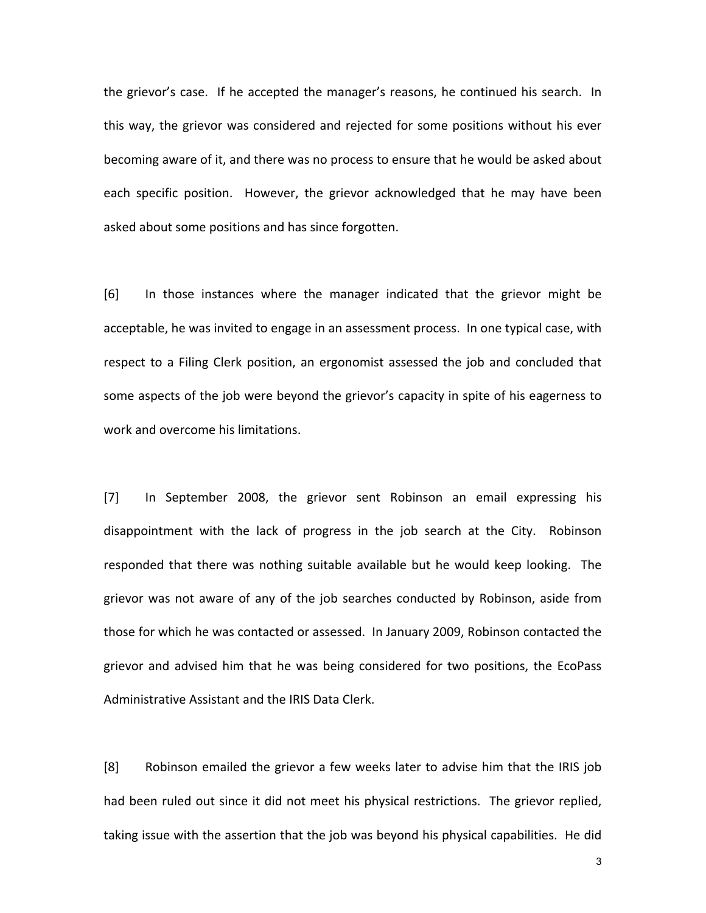the grievor's case. If he accepted the manager's reasons, he continued his search. In this way, the grievor was considered and rejected for some positions without his ever becoming aware of it, and there was no process to ensure that he would be asked about each specific position. However, the grievor acknowledged that he may have been asked about some positions and has since forgotten.

[6] In those instances where the manager indicated that the grievor might be acceptable, he was invited to engage in an assessment process. In one typical case, with respect to a Filing Clerk position, an ergonomist assessed the job and concluded that some aspects of the job were beyond the grievor's capacity in spite of his eagerness to work and overcome his limitations.

[7] In September 2008, the grievor sent Robinson an email expressing his disappointment with the lack of progress in the job search at the City. Robinson responded that there was nothing suitable available but he would keep looking. The grievor was not aware of any of the job searches conducted by Robinson, aside from those for which he was contacted or assessed. In January 2009, Robinson contacted the grievor and advised him that he was being considered for two positions, the EcoPass Administrative Assistant and the IRIS Data Clerk.

[8] Robinson emailed the grievor a few weeks later to advise him that the IRIS job had been ruled out since it did not meet his physical restrictions. The grievor replied, taking issue with the assertion that the job was beyond his physical capabilities. He did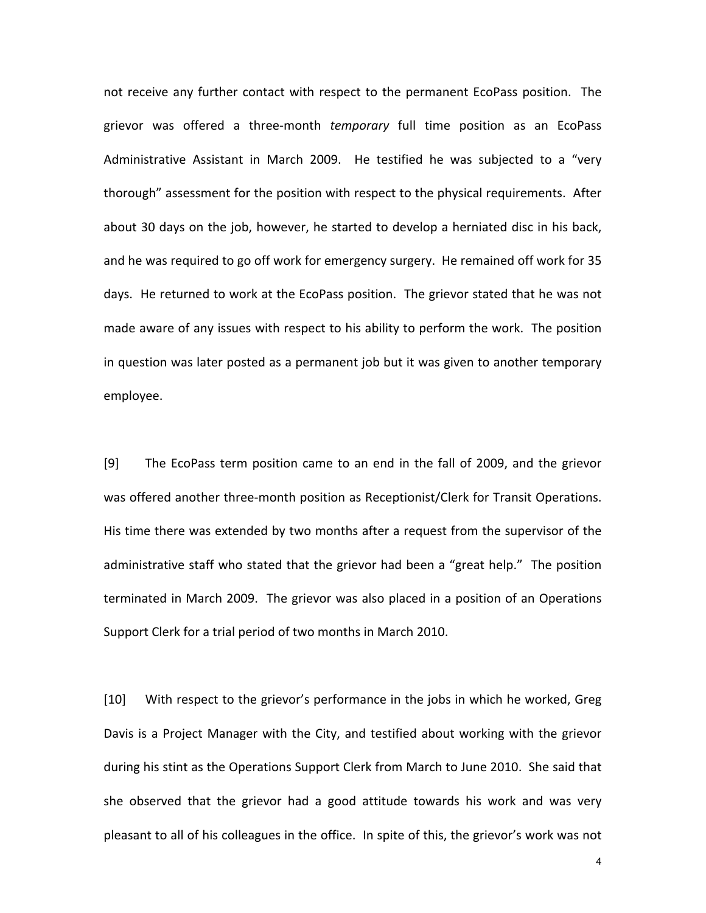not receive any further contact with respect to the permanent EcoPass position. The grievor was offered a three-month *temporary* full time position as an EcoPass Administrative Assistant in March 2009. He testified he was subjected to a "very thorough" assessment for the position with respect to the physical requirements. After about 30 days on the job, however, he started to develop a herniated disc in his back, and he was required to go off work for emergency surgery. He remained off work for 35 days. He returned to work at the EcoPass position. The grievor stated that he was not made aware of any issues with respect to his ability to perform the work. The position in question was later posted as a permanent job but it was given to another temporary employee.

[9] The EcoPass term position came to an end in the fall of 2009, and the grievor was offered another three-month position as Receptionist/Clerk for Transit Operations. His time there was extended by two months after a request from the supervisor of the administrative staff who stated that the grievor had been a "great help." The position terminated in March 2009. The grievor was also placed in a position of an Operations Support Clerk for a trial period of two months in March 2010.

[10] With respect to the grievor's performance in the jobs in which he worked, Greg Davis is a Project Manager with the City, and testified about working with the grievor during his stint as the Operations Support Clerk from March to June 2010. She said that she observed that the grievor had a good attitude towards his work and was very pleasant to all of his colleagues in the office. In spite of this, the grievor's work was not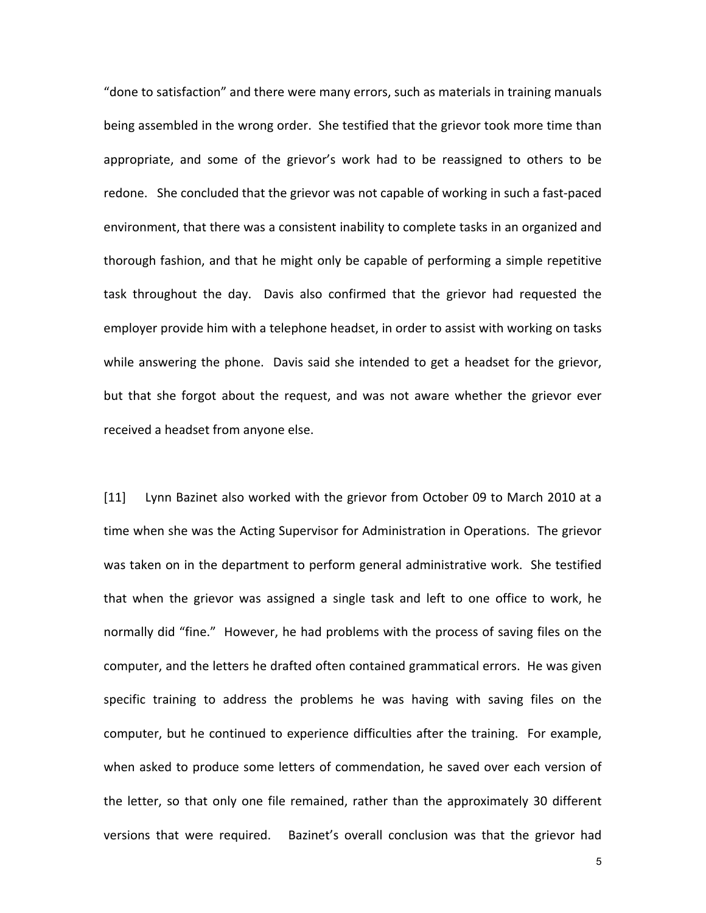"done to satisfaction" and there were many errors, such as materials in training manuals being assembled in the wrong order. She testified that the grievor took more time than appropriate, and some of the grievor's work had to be reassigned to others to be redone. She concluded that the grievor was not capable of working in such a fast-paced environment, that there was a consistent inability to complete tasks in an organized and thorough fashion, and that he might only be capable of performing a simple repetitive task throughout the day. Davis also confirmed that the grievor had requested the employer provide him with a telephone headset, in order to assist with working on tasks while answering the phone. Davis said she intended to get a headset for the grievor, but that she forgot about the request, and was not aware whether the grievor ever received a headset from anyone else.

[11] Lynn Bazinet also worked with the grievor from October 09 to March 2010 at a time when she was the Acting Supervisor for Administration in Operations. The grievor was taken on in the department to perform general administrative work. She testified that when the grievor was assigned a single task and left to one office to work, he normally did "fine." However, he had problems with the process of saving files on the computer, and the letters he drafted often contained grammatical errors. He was given specific training to address the problems he was having with saving files on the computer, but he continued to experience difficulties after the training. For example, when asked to produce some letters of commendation, he saved over each version of the letter, so that only one file remained, rather than the approximately 30 different versions that were required. Bazinet's overall conclusion was that the grievor had

 $\sim$  5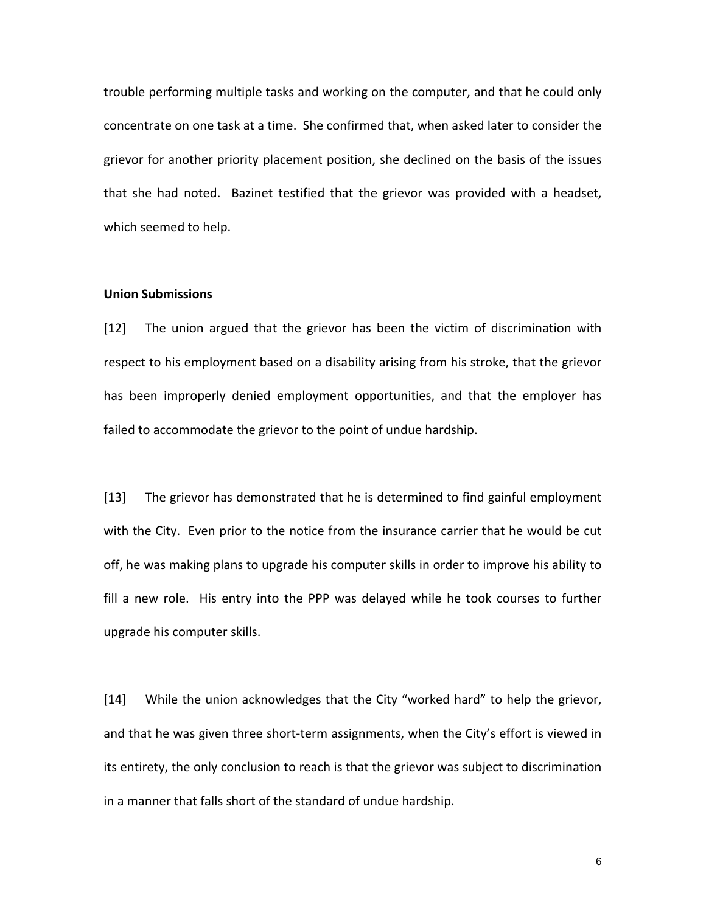trouble performing multiple tasks and working on the computer, and that he could only concentrate on one task at a time. She confirmed that, when asked later to consider the grievor for another priority placement position, she declined on the basis of the issues that she had noted. Bazinet testified that the grievor was provided with a headset, which seemed to help.

#### **Union Submissions**

[12] The union argued that the grievor has been the victim of discrimination with respect to his employment based on a disability arising from his stroke, that the grievor has been improperly denied employment opportunities, and that the employer has failed to accommodate the grievor to the point of undue hardship.

[13] The grievor has demonstrated that he is determined to find gainful employment with the City. Even prior to the notice from the insurance carrier that he would be cut off, he was making plans to upgrade his computer skills in order to improve his ability to fill a new role. His entry into the PPP was delayed while he took courses to further upgrade his computer skills.

[14] While the union acknowledges that the City "worked hard" to help the grievor, and that he was given three short-term assignments, when the City's effort is viewed in its entirety, the only conclusion to reach is that the grievor was subject to discrimination in a manner that falls short of the standard of undue hardship.

 $\overline{6}$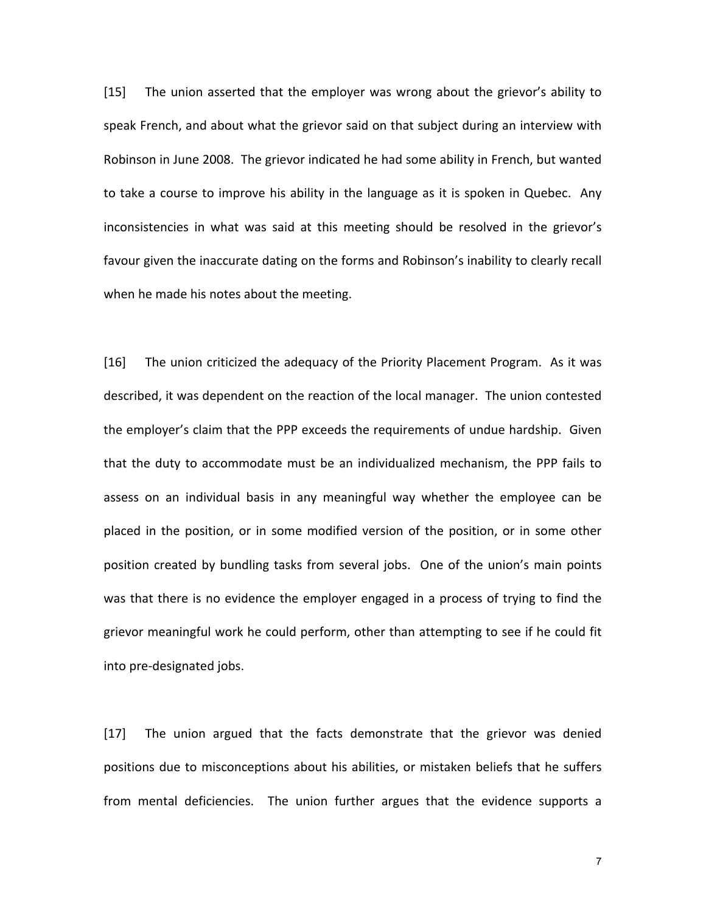[15] The union asserted that the employer was wrong about the grievor's ability to speak French, and about what the grievor said on that subject during an interview with Robinson in June 2008. The grievor indicated he had some ability in French, but wanted to take a course to improve his ability in the language as it is spoken in Quebec. Any inconsistencies in what was said at this meeting should be resolved in the grievor's favour given the inaccurate dating on the forms and Robinson's inability to clearly recall when he made his notes about the meeting.

[16] The union criticized the adequacy of the Priority Placement Program. As it was described, it was dependent on the reaction of the local manager. The union contested the employer's claim that the PPP exceeds the requirements of undue hardship. Given that the duty to accommodate must be an individualized mechanism, the PPP fails to assess on an individual basis in any meaningful way whether the employee can be placed in the position, or in some modified version of the position, or in some other position created by bundling tasks from several jobs. One of the union's main points was that there is no evidence the employer engaged in a process of trying to find the grievor meaningful work he could perform, other than attempting to see if he could fit into pre-designated jobs.

[17] The union argued that the facts demonstrate that the grievor was denied positions due to misconceptions about his abilities, or mistaken beliefs that he suffers from mental deficiencies. The union further argues that the evidence supports a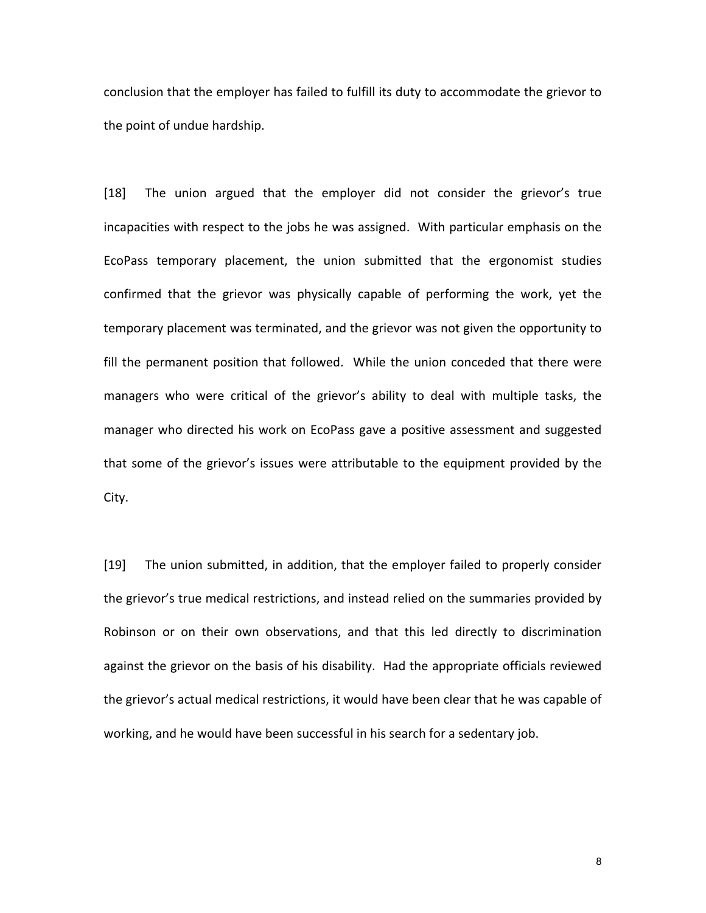conclusion that the employer has failed to fulfill its duty to accommodate the grievor to the point of undue hardship.

[18] The union argued that the employer did not consider the grievor's true incapacities with respect to the jobs he was assigned. With particular emphasis on the EcoPass temporary placement, the union submitted that the ergonomist studies confirmed that the grievor was physically capable of performing the work, yet the temporary placement was terminated, and the grievor was not given the opportunity to fill the permanent position that followed. While the union conceded that there were managers who were critical of the grievor's ability to deal with multiple tasks, the manager who directed his work on EcoPass gave a positive assessment and suggested that some of the grievor's issues were attributable to the equipment provided by the City.

[19] The union submitted, in addition, that the employer failed to properly consider the grievor's true medical restrictions, and instead relied on the summaries provided by Robinson or on their own observations, and that this led directly to discrimination against the grievor on the basis of his disability. Had the appropriate officials reviewed the grievor's actual medical restrictions, it would have been clear that he was capable of working, and he would have been successful in his search for a sedentary job.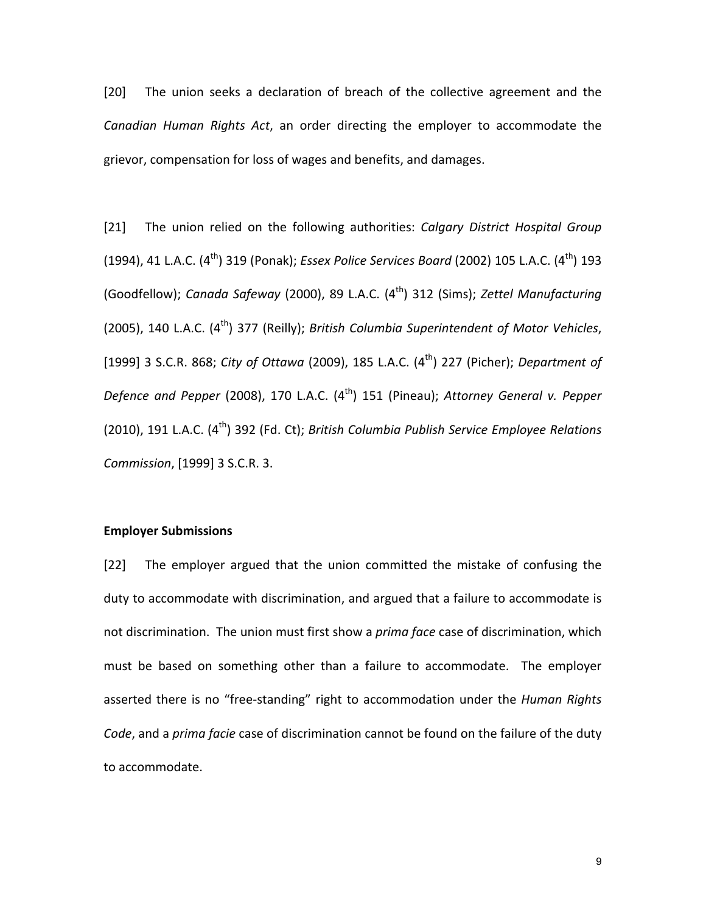[20] The union seeks a declaration of breach of the collective agreement and the Canadian Human Rights Act, an order directing the employer to accommodate the grievor, compensation for loss of wages and benefits, and damages.

[21] The union relied on the following authorities: *Calgary District Hospital Group* (1994), 41 L.A.C. (4<sup>th</sup>) 319 (Ponak); *Essex Police Services Board* (2002) 105 L.A.C. (4<sup>th</sup>) 193 (Goodfellow); *Canada Safeway* (2000), 89 L.A.C. (4<sup>th</sup>) 312 (Sims); *Zettel Manufacturing* (2005), 140 L.A.C. (4<sup>th</sup>) 377 (Reilly); *British Columbia Superintendent of Motor Vehicles*, [1999] 3 S.C.R. 868; *City of Ottawa* (2009), 185 L.A.C. (4<sup>th</sup>) 227 (Picher); *Department of Defence and Pepper* (2008), 170 L.A.C. (4<sup>th</sup>) 151 (Pineau); *Attorney General v. Pepper* (2010), 191 L.A.C. (4<sup>th</sup>) 392 (Fd. Ct); *British Columbia Publish Service Employee Relations Commission*, [1999] 3 S.C.R. 3.

## **Employer Submissions**

[22] The employer argued that the union committed the mistake of confusing the duty to accommodate with discrimination, and argued that a failure to accommodate is not discrimination. The union must first show a *prima face* case of discrimination, which must be based on something other than a failure to accommodate. The employer asserted there is no "free-standing" right to accommodation under the *Human Rights Code*, and a *prima facie* case of discrimination cannot be found on the failure of the duty to accommodate.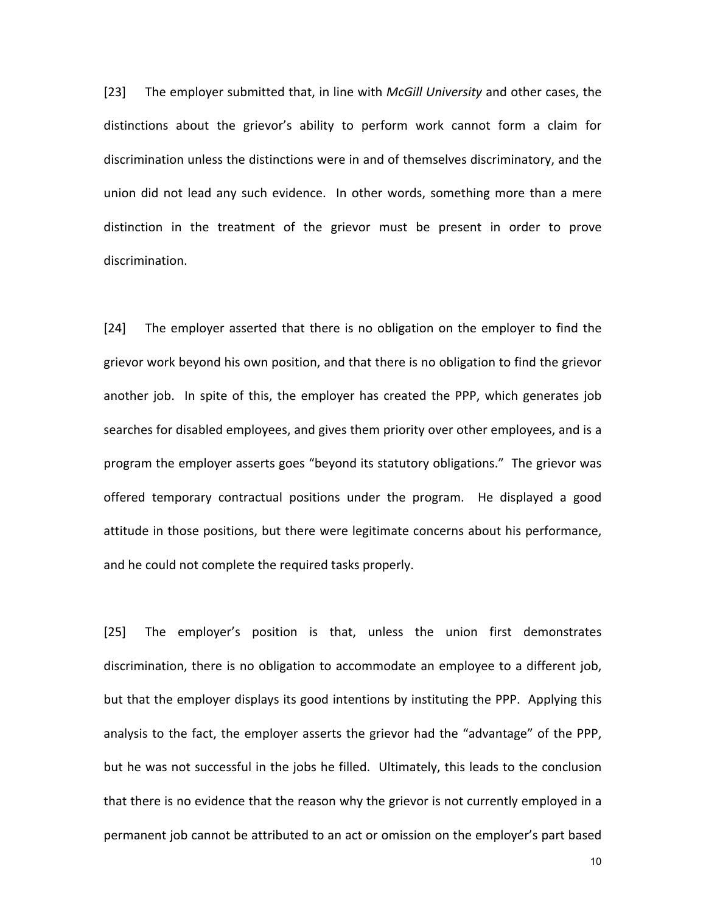[23] The employer submitted that, in line with *McGill University* and other cases, the distinctions about the grievor's ability to perform work cannot form a claim for discrimination unless the distinctions were in and of themselves discriminatory, and the union did not lead any such evidence. In other words, something more than a mere distinction in the treatment of the grievor must be present in order to prove discrimination.

[24] The employer asserted that there is no obligation on the employer to find the grievor work beyond his own position, and that there is no obligation to find the grievor another job. In spite of this, the employer has created the PPP, which generates job searches for disabled employees, and gives them priority over other employees, and is a program the employer asserts goes "beyond its statutory obligations." The grievor was offered temporary contractual positions under the program. He displayed a good attitude in those positions, but there were legitimate concerns about his performance, and he could not complete the required tasks properly.

[25] The employer's position is that, unless the union first demonstrates discrimination, there is no obligation to accommodate an employee to a different job, but that the employer displays its good intentions by instituting the PPP. Applying this analysis to the fact, the employer asserts the grievor had the "advantage" of the PPP, but he was not successful in the jobs he filled. Ultimately, this leads to the conclusion that there is no evidence that the reason why the grievor is not currently employed in a permanent job cannot be attributed to an act or omission on the employer's part based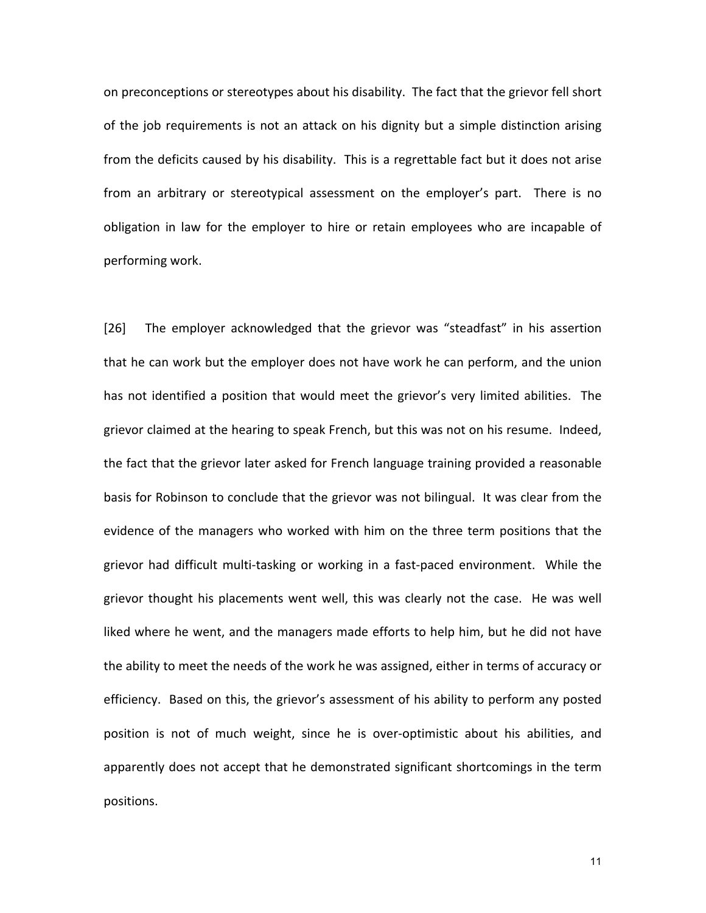on preconceptions or stereotypes about his disability. The fact that the grievor fell short of the job requirements is not an attack on his dignity but a simple distinction arising from the deficits caused by his disability. This is a regrettable fact but it does not arise from an arbitrary or stereotypical assessment on the employer's part. There is no obligation in law for the employer to hire or retain employees who are incapable of performing work.

[26] The employer acknowledged that the grievor was "steadfast" in his assertion that he can work but the employer does not have work he can perform, and the union has not identified a position that would meet the grievor's very limited abilities. The grievor claimed at the hearing to speak French, but this was not on his resume. Indeed, the fact that the grievor later asked for French language training provided a reasonable basis for Robinson to conclude that the grievor was not bilingual. It was clear from the evidence of the managers who worked with him on the three term positions that the grievor had difficult multi-tasking or working in a fast-paced environment. While the grievor thought his placements went well, this was clearly not the case. He was well liked where he went, and the managers made efforts to help him, but he did not have the ability to meet the needs of the work he was assigned, either in terms of accuracy or efficiency. Based on this, the grievor's assessment of his ability to perform any posted position is not of much weight, since he is over-optimistic about his abilities, and apparently does not accept that he demonstrated significant shortcomings in the term positions.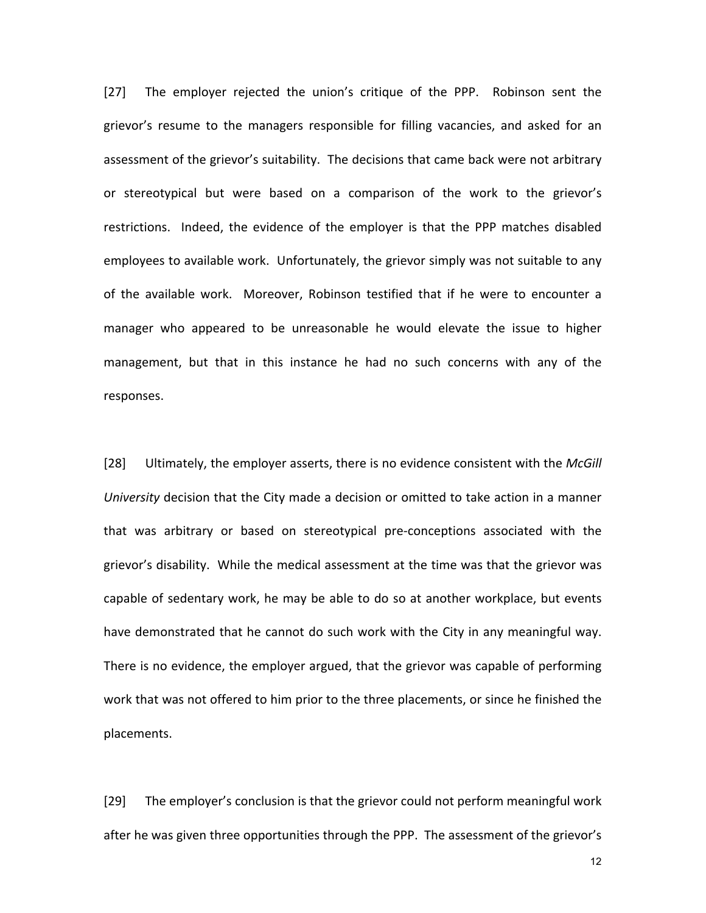[27] The employer rejected the union's critique of the PPP. Robinson sent the grievor's resume to the managers responsible for filling vacancies, and asked for an assessment of the grievor's suitability. The decisions that came back were not arbitrary or stereotypical but were based on a comparison of the work to the grievor's restrictions. Indeed, the evidence of the employer is that the PPP matches disabled employees to available work. Unfortunately, the grievor simply was not suitable to any of the available work. Moreover, Robinson testified that if he were to encounter a manager who appeared to be unreasonable he would elevate the issue to higher management, but that in this instance he had no such concerns with any of the responses. 

[28] Ultimately, the employer asserts, there is no evidence consistent with the *McGill University* decision that the City made a decision or omitted to take action in a manner that was arbitrary or based on stereotypical pre-conceptions associated with the grievor's disability. While the medical assessment at the time was that the grievor was capable of sedentary work, he may be able to do so at another workplace, but events have demonstrated that he cannot do such work with the City in any meaningful way. There is no evidence, the employer argued, that the grievor was capable of performing work that was not offered to him prior to the three placements, or since he finished the placements.

[29] The employer's conclusion is that the grievor could not perform meaningful work after he was given three opportunities through the PPP. The assessment of the grievor's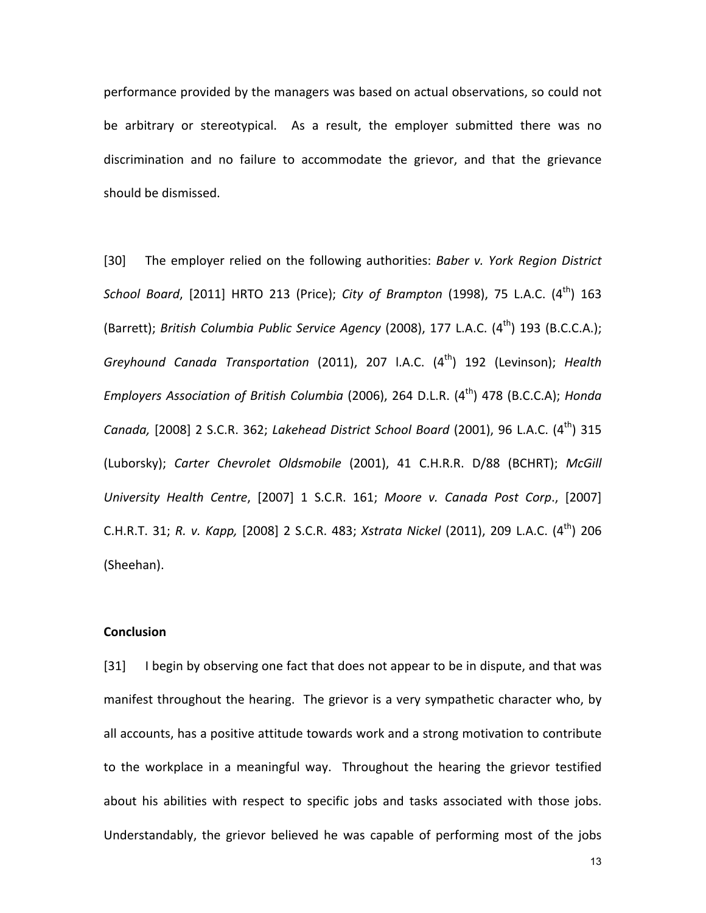performance provided by the managers was based on actual observations, so could not be arbitrary or stereotypical. As a result, the employer submitted there was no discrimination and no failure to accommodate the grievor, and that the grievance should be dismissed.

[30] The employer relied on the following authorities: *Baber v. York Region District School Board*, [2011] HRTO 213 (Price); *City of Brampton* (1998), 75 L.A.C. (4<sup>th</sup>) 163 (Barrett); *British Columbia Public Service Agency* (2008), 177 L.A.C. (4<sup>th</sup>) 193 (B.C.C.A.); *Greyhound Canada Transportation* (2011), 207 I.A.C. (4<sup>th</sup>) 192 (Levinson); *Health Employers Association of British Columbia* (2006), 264 D.L.R. (4<sup>th</sup>) 478 (B.C.C.A); *Honda Canada,* [2008] 2 S.C.R. 362; *Lakehead District School Board* (2001), 96 L.A.C. (4<sup>th</sup>) 315 (Luborsky); Carter Chevrolet Oldsmobile (2001), 41 C.H.R.R. D/88 (BCHRT); McGill *University Health Centre*, [2007] 1 S.C.R. 161; *Moore v. Canada Post Corp*., [2007] C.H.R.T. 31; *R. v. Kapp,* [2008] 2 S.C.R. 483; *Xstrata Nickel* (2011), 209 L.A.C. (4th) 206 (Sheehan).

## **Conclusion**

[31] I begin by observing one fact that does not appear to be in dispute, and that was manifest throughout the hearing. The grievor is a very sympathetic character who, by all accounts, has a positive attitude towards work and a strong motivation to contribute to the workplace in a meaningful way. Throughout the hearing the grievor testified about his abilities with respect to specific jobs and tasks associated with those jobs. Understandably, the grievor believed he was capable of performing most of the jobs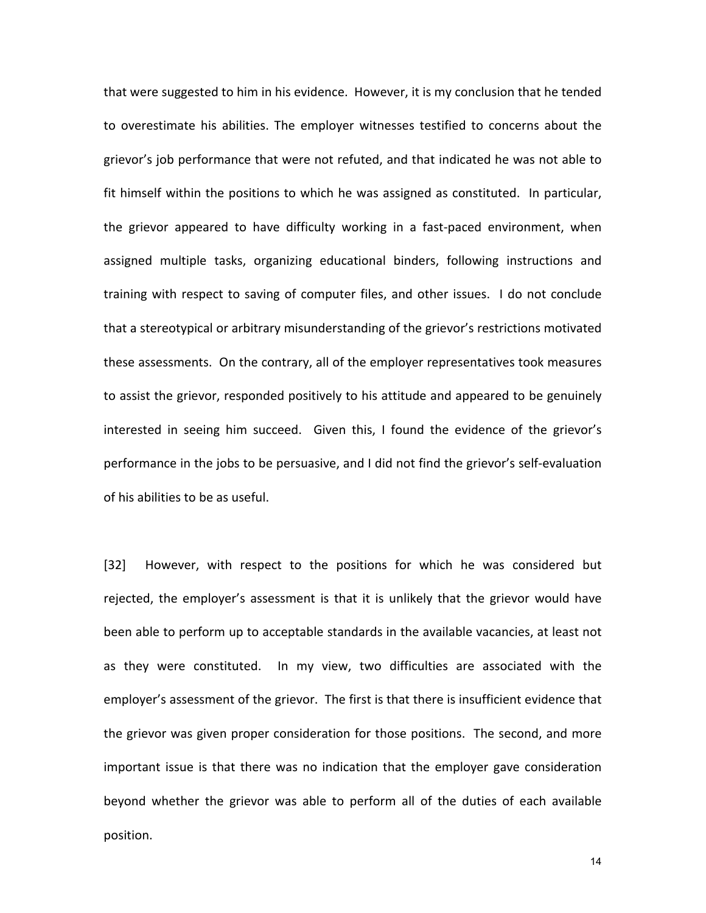that were suggested to him in his evidence. However, it is my conclusion that he tended to overestimate his abilities. The employer witnesses testified to concerns about the grievor's job performance that were not refuted, and that indicated he was not able to fit himself within the positions to which he was assigned as constituted. In particular, the grievor appeared to have difficulty working in a fast-paced environment, when assigned multiple tasks, organizing educational binders, following instructions and training with respect to saving of computer files, and other issues. I do not conclude that a stereotypical or arbitrary misunderstanding of the grievor's restrictions motivated these assessments. On the contrary, all of the employer representatives took measures to assist the grievor, responded positively to his attitude and appeared to be genuinely interested in seeing him succeed. Given this, I found the evidence of the grievor's performance in the jobs to be persuasive, and I did not find the grievor's self-evaluation of his abilities to be as useful.

[32] However, with respect to the positions for which he was considered but rejected, the employer's assessment is that it is unlikely that the grievor would have been able to perform up to acceptable standards in the available vacancies, at least not as they were constituted. In my view, two difficulties are associated with the employer's assessment of the grievor. The first is that there is insufficient evidence that the grievor was given proper consideration for those positions. The second, and more important issue is that there was no indication that the employer gave consideration beyond whether the grievor was able to perform all of the duties of each available position.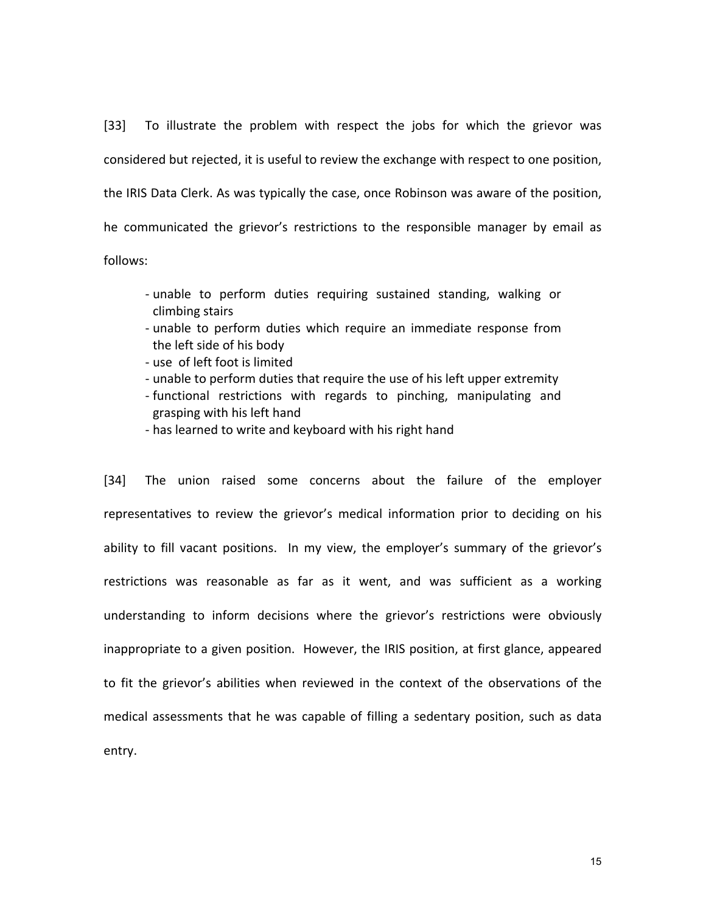[33] To illustrate the problem with respect the jobs for which the grievor was considered but rejected, it is useful to review the exchange with respect to one position, the IRIS Data Clerk. As was typically the case, once Robinson was aware of the position, he communicated the grievor's restrictions to the responsible manager by email as follows:

- unable to perform duties requiring sustained standing, walking or climbing stairs
- unable to perform duties which require an immediate response from the left side of his body
- use of left foot is limited
- unable to perform duties that require the use of his left upper extremity
- functional restrictions with regards to pinching, manipulating and grasping with his left hand
- has learned to write and keyboard with his right hand

[34] The union raised some concerns about the failure of the employer representatives to review the grievor's medical information prior to deciding on his ability to fill vacant positions. In my view, the employer's summary of the grievor's restrictions was reasonable as far as it went, and was sufficient as a working understanding to inform decisions where the grievor's restrictions were obviously inappropriate to a given position. However, the IRIS position, at first glance, appeared to fit the grievor's abilities when reviewed in the context of the observations of the medical assessments that he was capable of filling a sedentary position, such as data entry.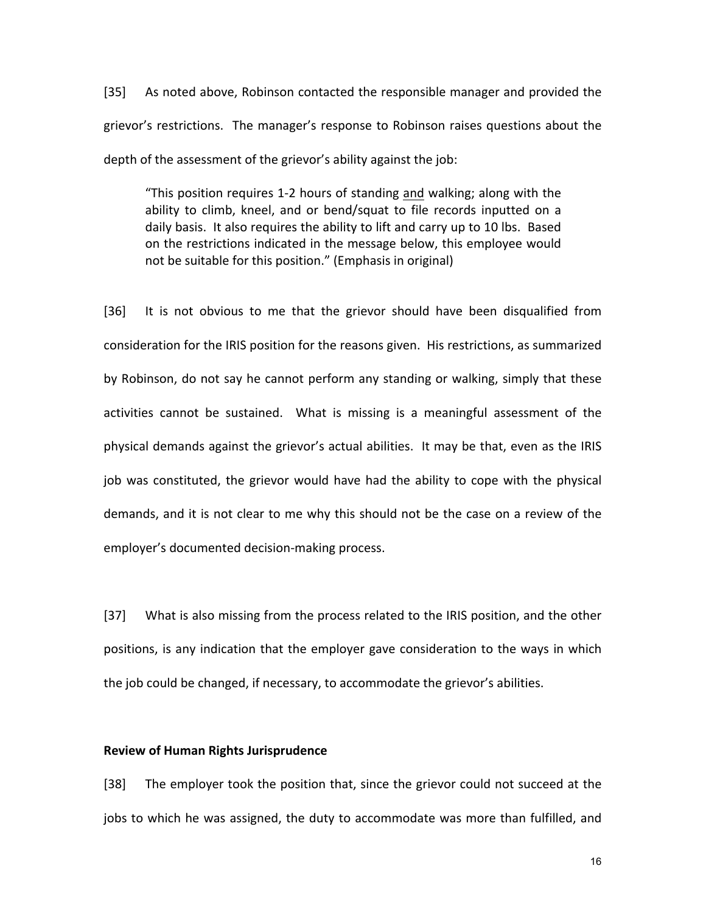[35] As noted above, Robinson contacted the responsible manager and provided the grievor's restrictions. The manager's response to Robinson raises questions about the depth of the assessment of the grievor's ability against the job:

"This position requires 1-2 hours of standing and walking; along with the ability to climb, kneel, and or bend/squat to file records inputted on a daily basis. It also requires the ability to lift and carry up to 10 lbs. Based on the restrictions indicated in the message below, this employee would not be suitable for this position." (Emphasis in original)

[36] It is not obvious to me that the grievor should have been disqualified from consideration for the IRIS position for the reasons given. His restrictions, as summarized by Robinson, do not say he cannot perform any standing or walking, simply that these activities cannot be sustained. What is missing is a meaningful assessment of the physical demands against the grievor's actual abilities. It may be that, even as the IRIS job was constituted, the grievor would have had the ability to cope with the physical demands, and it is not clear to me why this should not be the case on a review of the employer's documented decision-making process.

[37] What is also missing from the process related to the IRIS position, and the other positions, is any indication that the employer gave consideration to the ways in which the job could be changed, if necessary, to accommodate the grievor's abilities.

## **Review of Human Rights Jurisprudence**

[38] The employer took the position that, since the grievor could not succeed at the jobs to which he was assigned, the duty to accommodate was more than fulfilled, and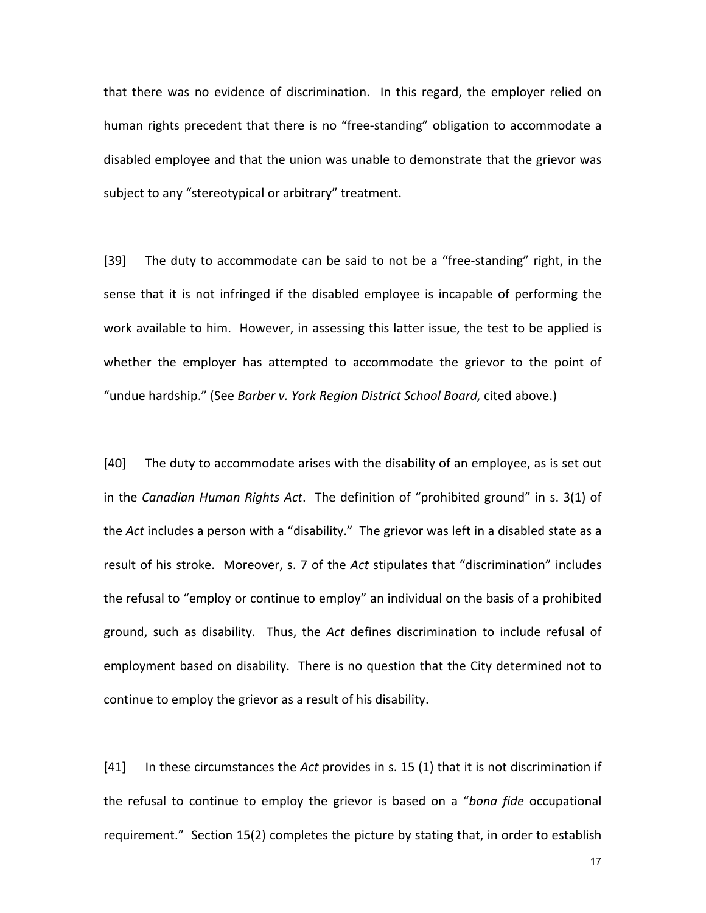that there was no evidence of discrimination. In this regard, the employer relied on human rights precedent that there is no "free-standing" obligation to accommodate a disabled employee and that the union was unable to demonstrate that the grievor was subject to any "stereotypical or arbitrary" treatment.

[39] The duty to accommodate can be said to not be a "free-standing" right, in the sense that it is not infringed if the disabled employee is incapable of performing the work available to him. However, in assessing this latter issue, the test to be applied is whether the employer has attempted to accommodate the grievor to the point of "undue hardship." (See Barber v. York Region District School Board, cited above.)

[40] The duty to accommodate arises with the disability of an employee, as is set out in the *Canadian Human Rights Act*. The definition of "prohibited ground" in s. 3(1) of the *Act* includes a person with a "disability." The grievor was left in a disabled state as a result of his stroke. Moreover, s. 7 of the Act stipulates that "discrimination" includes the refusal to "employ or continue to employ" an individual on the basis of a prohibited ground, such as disability. Thus, the Act defines discrimination to include refusal of employment based on disability. There is no question that the City determined not to continue to employ the grievor as a result of his disability.

[41] In these circumstances the *Act* provides in s. 15 (1) that it is not discrimination if the refusal to continue to employ the grievor is based on a "*bona fide* occupational requirement." Section 15(2) completes the picture by stating that, in order to establish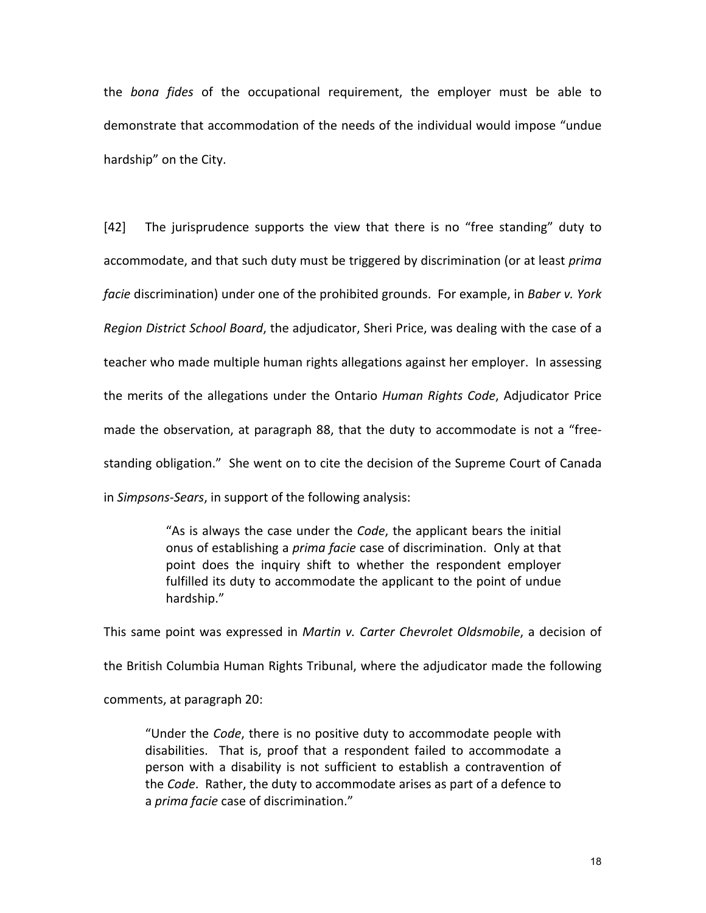the *bona fides* of the occupational requirement, the employer must be able to demonstrate that accommodation of the needs of the individual would impose "undue hardship" on the City.

[42] The jurisprudence supports the view that there is no "free standing" duty to accommodate, and that such duty must be triggered by discrimination (or at least *prima facie* discrimination) under one of the prohibited grounds. For example, in *Baber v. York Region District School Board*, the adjudicator, Sheri Price, was dealing with the case of a teacher who made multiple human rights allegations against her employer. In assessing the merits of the allegations under the Ontario *Human Rights Code*, Adjudicator Price made the observation, at paragraph 88, that the duty to accommodate is not a "freestanding obligation." She went on to cite the decision of the Supreme Court of Canada in *Simpsons-Sears*, in support of the following analysis:

> "As is always the case under the *Code*, the applicant bears the initial onus of establishing a *prima facie* case of discrimination. Only at that point does the inquiry shift to whether the respondent employer fulfilled its duty to accommodate the applicant to the point of undue hardship."

This same point was expressed in *Martin v. Carter Chevrolet Oldsmobile*, a decision of the British Columbia Human Rights Tribunal, where the adjudicator made the following comments, at paragraph 20:

"Under the *Code*, there is no positive duty to accommodate people with disabilities. That is, proof that a respondent failed to accommodate a person with a disability is not sufficient to establish a contravention of the *Code*. Rather, the duty to accommodate arises as part of a defence to a *prima facie* case of discrimination."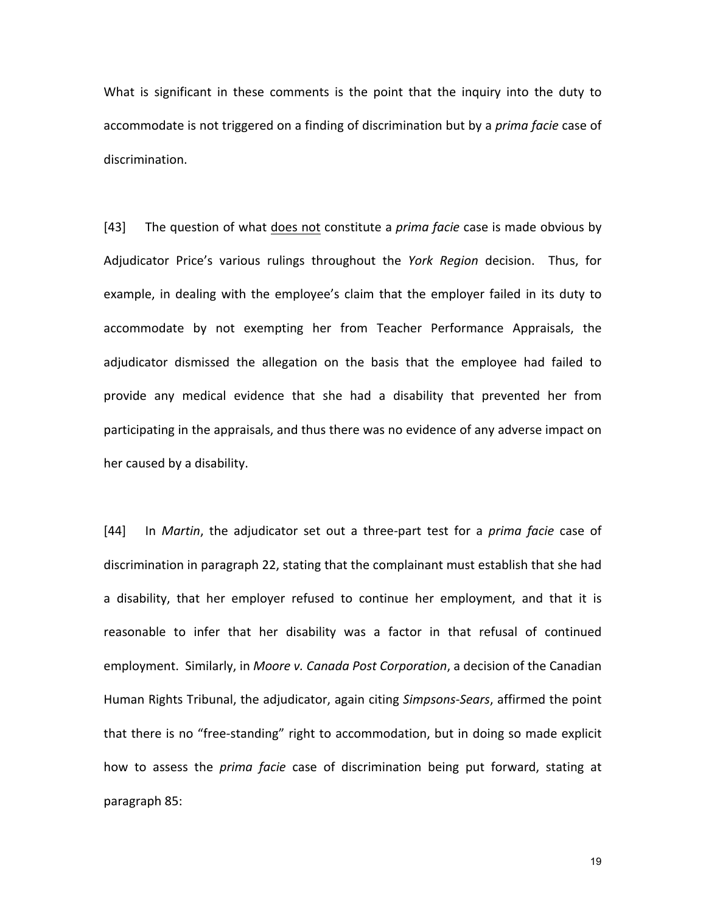What is significant in these comments is the point that the inquiry into the duty to accommodate is not triggered on a finding of discrimination but by a *prima facie* case of discrimination. 

[43] The question of what does not constitute a *prima facie* case is made obvious by Adjudicator Price's various rulings throughout the York Region decision. Thus, for example, in dealing with the employee's claim that the employer failed in its duty to accommodate by not exempting her from Teacher Performance Appraisals, the adjudicator dismissed the allegation on the basis that the employee had failed to provide any medical evidence that she had a disability that prevented her from participating in the appraisals, and thus there was no evidence of any adverse impact on her caused by a disability.

[44] In *Martin*, the adjudicator set out a three-part test for a *prima facie* case of discrimination in paragraph 22, stating that the complainant must establish that she had a disability, that her employer refused to continue her employment, and that it is reasonable to infer that her disability was a factor in that refusal of continued employment. Similarly, in *Moore v. Canada Post Corporation*, a decision of the Canadian Human Rights Tribunal, the adjudicator, again citing *Simpsons-Sears*, affirmed the point that there is no "free-standing" right to accommodation, but in doing so made explicit how to assess the *prima facie* case of discrimination being put forward, stating at paragraph 85:

the contract of the contract of the contract of the contract of the contract of the contract of the contract o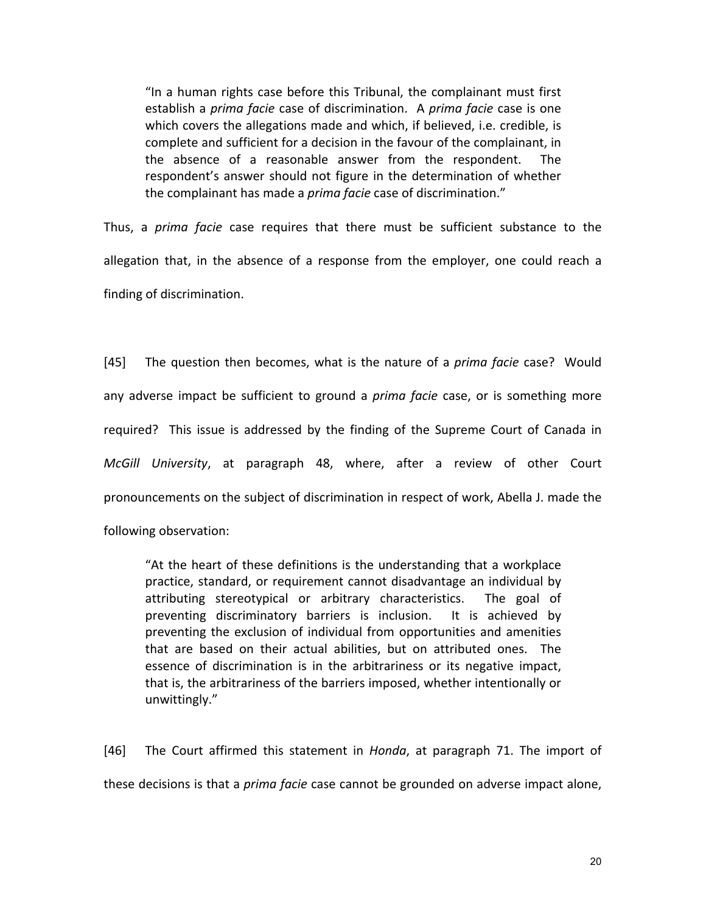"In a human rights case before this Tribunal, the complainant must first establish a *prima facie* case of discrimination. A *prima facie* case is one which covers the allegations made and which, if believed, i.e. credible, is complete and sufficient for a decision in the favour of the complainant, in the absence of a reasonable answer from the respondent. The respondent's answer should not figure in the determination of whether the complainant has made a *prima facie* case of discrimination."

Thus, a *prima facie* case requires that there must be sufficient substance to the allegation that, in the absence of a response from the employer, one could reach a finding of discrimination.

[45] The question then becomes, what is the nature of a *prima facie* case? Would any adverse impact be sufficient to ground a *prima facie* case, or is something more required? This issue is addressed by the finding of the Supreme Court of Canada in *McGill University*, at paragraph 48, where, after a review of other Court pronouncements on the subject of discrimination in respect of work, Abella J. made the following observation:

"At the heart of these definitions is the understanding that a workplace practice, standard, or requirement cannot disadvantage an individual by attributing stereotypical or arbitrary characteristics. The goal of preventing discriminatory barriers is inclusion. It is achieved by preventing the exclusion of individual from opportunities and amenities that are based on their actual abilities, but on attributed ones. The essence of discrimination is in the arbitrariness or its negative impact, that is, the arbitrariness of the barriers imposed, whether intentionally or unwittingly."

[46] The Court affirmed this statement in *Honda*, at paragraph 71. The import of these decisions is that a *prima facie* case cannot be grounded on adverse impact alone,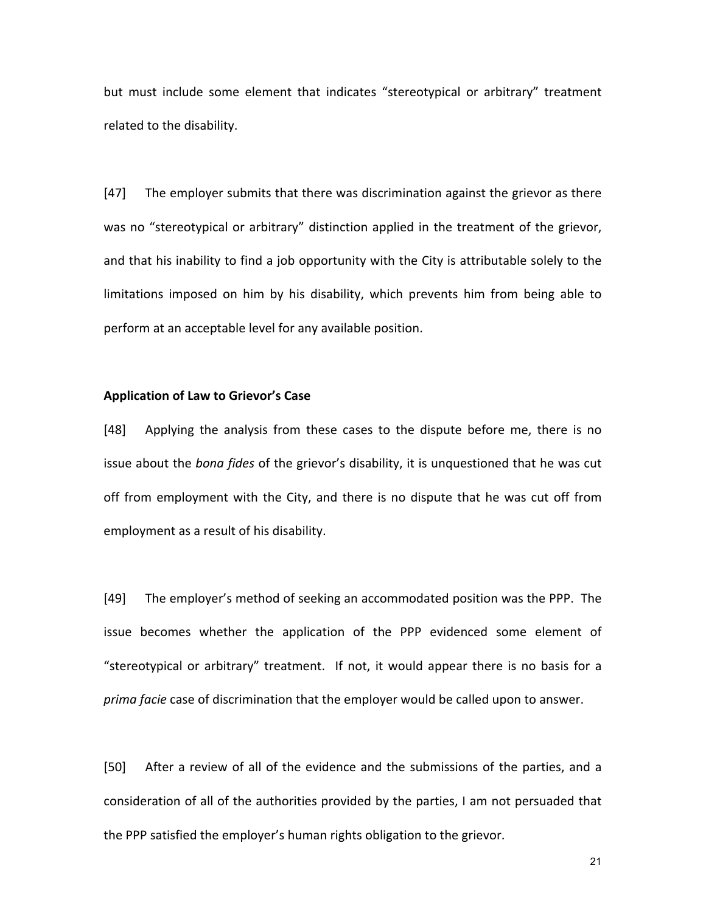but must include some element that indicates "stereotypical or arbitrary" treatment related to the disability.

[47] The employer submits that there was discrimination against the grievor as there was no "stereotypical or arbitrary" distinction applied in the treatment of the grievor, and that his inability to find a job opportunity with the City is attributable solely to the limitations imposed on him by his disability, which prevents him from being able to perform at an acceptable level for any available position.

## **Application of Law to Grievor's Case**

[48] Applying the analysis from these cases to the dispute before me, there is no issue about the *bona fides* of the grievor's disability, it is unquestioned that he was cut off from employment with the City, and there is no dispute that he was cut off from employment as a result of his disability.

[49] The employer's method of seeking an accommodated position was the PPP. The issue becomes whether the application of the PPP evidenced some element of "stereotypical or arbitrary" treatment. If not, it would appear there is no basis for a *prima facie* case of discrimination that the employer would be called upon to answer.

[50] After a review of all of the evidence and the submissions of the parties, and a consideration of all of the authorities provided by the parties, I am not persuaded that the PPP satisfied the employer's human rights obligation to the grievor.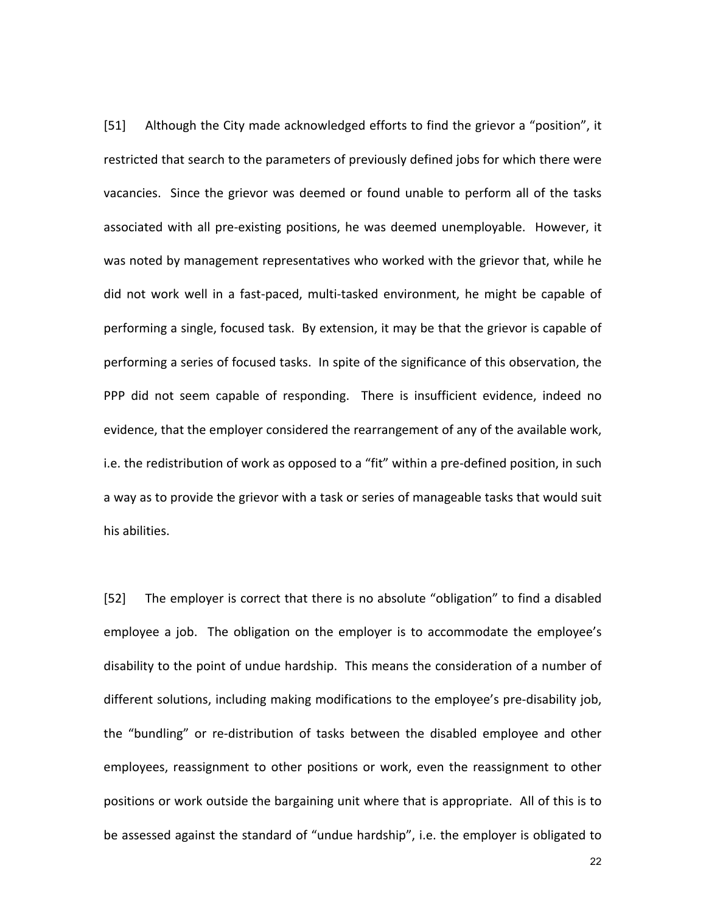[51] Although the City made acknowledged efforts to find the grievor a "position", it restricted that search to the parameters of previously defined jobs for which there were vacancies. Since the grievor was deemed or found unable to perform all of the tasks associated with all pre-existing positions, he was deemed unemployable. However, it was noted by management representatives who worked with the grievor that, while he did not work well in a fast-paced, multi-tasked environment, he might be capable of performing a single, focused task. By extension, it may be that the grievor is capable of performing a series of focused tasks. In spite of the significance of this observation, the PPP did not seem capable of responding. There is insufficient evidence, indeed no evidence, that the employer considered the rearrangement of any of the available work, i.e. the redistribution of work as opposed to a "fit" within a pre-defined position, in such a way as to provide the grievor with a task or series of manageable tasks that would suit his abilities. 

[52] The employer is correct that there is no absolute "obligation" to find a disabled employee a job. The obligation on the employer is to accommodate the employee's disability to the point of undue hardship. This means the consideration of a number of different solutions, including making modifications to the employee's pre-disability job, the "bundling" or re-distribution of tasks between the disabled employee and other employees, reassignment to other positions or work, even the reassignment to other positions or work outside the bargaining unit where that is appropriate. All of this is to be assessed against the standard of "undue hardship", i.e. the employer is obligated to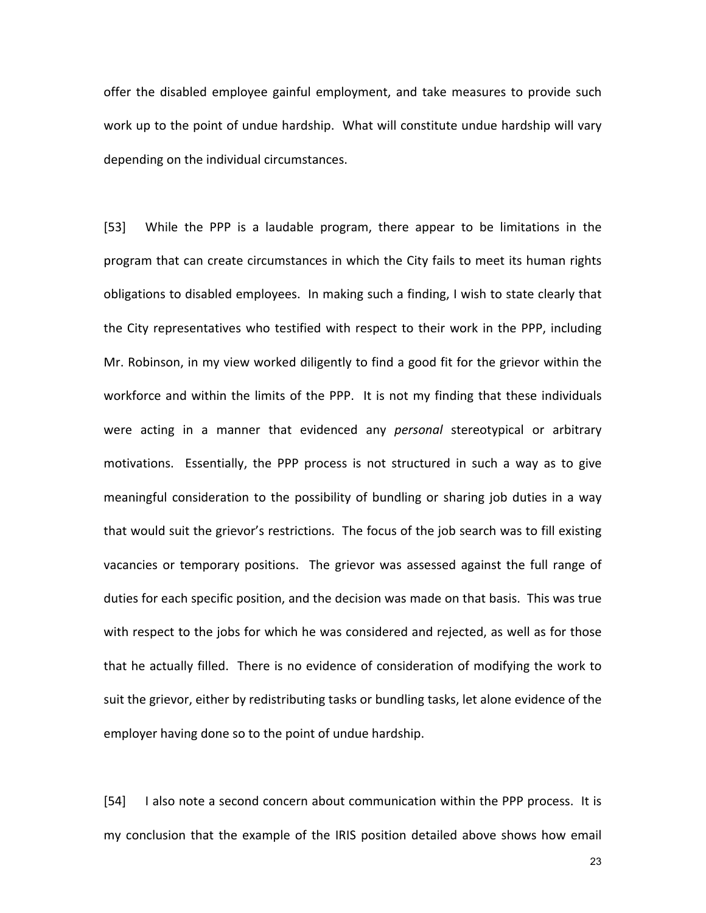offer the disabled employee gainful employment, and take measures to provide such work up to the point of undue hardship. What will constitute undue hardship will vary depending on the individual circumstances.

[53] While the PPP is a laudable program, there appear to be limitations in the program that can create circumstances in which the City fails to meet its human rights obligations to disabled employees. In making such a finding, I wish to state clearly that the City representatives who testified with respect to their work in the PPP, including Mr. Robinson, in my view worked diligently to find a good fit for the grievor within the workforce and within the limits of the PPP. It is not my finding that these individuals were acting in a manner that evidenced any *personal* stereotypical or arbitrary motivations. Essentially, the PPP process is not structured in such a way as to give meaningful consideration to the possibility of bundling or sharing job duties in a way that would suit the grievor's restrictions. The focus of the job search was to fill existing vacancies or temporary positions. The grievor was assessed against the full range of duties for each specific position, and the decision was made on that basis. This was true with respect to the jobs for which he was considered and rejected, as well as for those that he actually filled. There is no evidence of consideration of modifying the work to suit the grievor, either by redistributing tasks or bundling tasks, let alone evidence of the employer having done so to the point of undue hardship.

[54] I also note a second concern about communication within the PPP process. It is my conclusion that the example of the IRIS position detailed above shows how email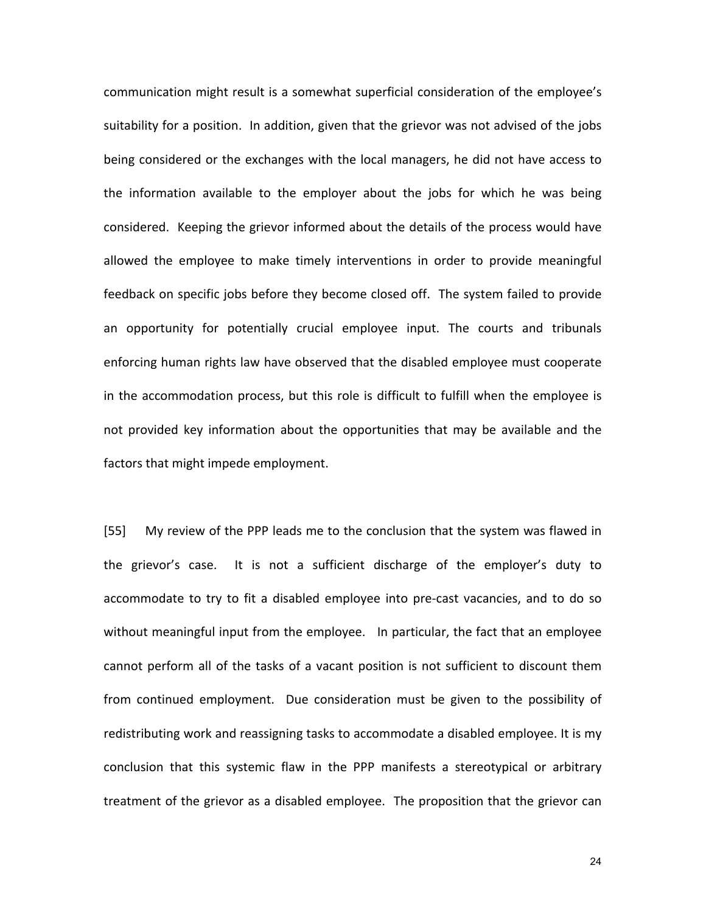communication might result is a somewhat superficial consideration of the employee's suitability for a position. In addition, given that the grievor was not advised of the jobs being considered or the exchanges with the local managers, he did not have access to the information available to the employer about the jobs for which he was being considered. Keeping the grievor informed about the details of the process would have allowed the employee to make timely interventions in order to provide meaningful feedback on specific jobs before they become closed off. The system failed to provide an opportunity for potentially crucial employee input. The courts and tribunals enforcing human rights law have observed that the disabled employee must cooperate in the accommodation process, but this role is difficult to fulfill when the employee is not provided key information about the opportunities that may be available and the factors that might impede employment.

[55] My review of the PPP leads me to the conclusion that the system was flawed in the grievor's case. It is not a sufficient discharge of the employer's duty to accommodate to try to fit a disabled employee into pre-cast vacancies, and to do so without meaningful input from the employee. In particular, the fact that an employee cannot perform all of the tasks of a vacant position is not sufficient to discount them from continued employment. Due consideration must be given to the possibility of redistributing work and reassigning tasks to accommodate a disabled employee. It is my conclusion that this systemic flaw in the PPP manifests a stereotypical or arbitrary treatment of the grievor as a disabled employee. The proposition that the grievor can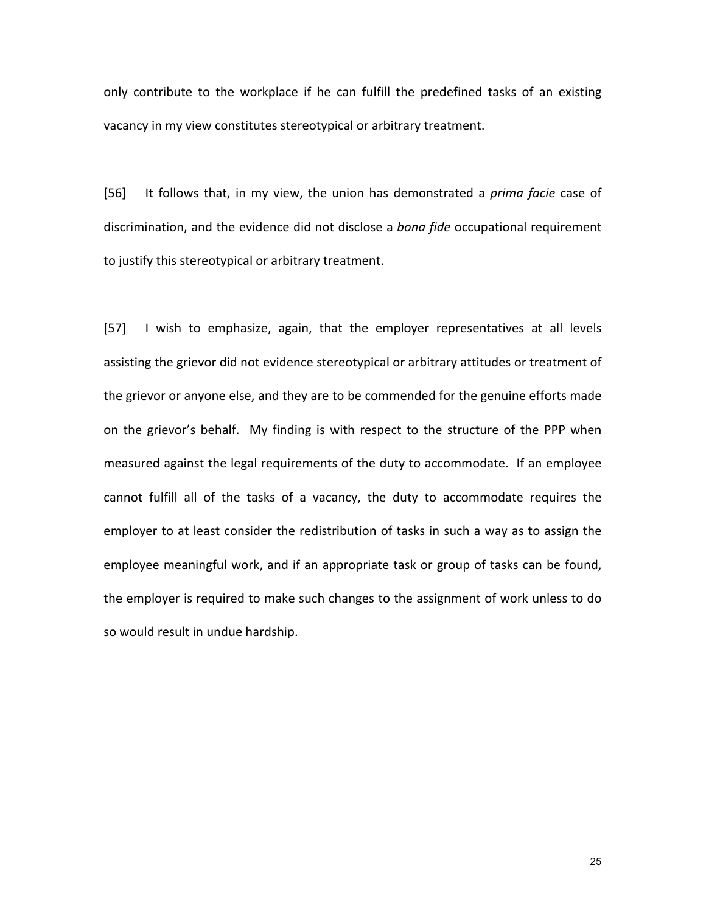only contribute to the workplace if he can fulfill the predefined tasks of an existing vacancy in my view constitutes stereotypical or arbitrary treatment.

[56] It follows that, in my view, the union has demonstrated a *prima facie* case of discrimination, and the evidence did not disclose a bona fide occupational requirement to justify this stereotypical or arbitrary treatment.

[57] I wish to emphasize, again, that the employer representatives at all levels assisting the grievor did not evidence stereotypical or arbitrary attitudes or treatment of the grievor or anyone else, and they are to be commended for the genuine efforts made on the grievor's behalf. My finding is with respect to the structure of the PPP when measured against the legal requirements of the duty to accommodate. If an employee cannot fulfill all of the tasks of a vacancy, the duty to accommodate requires the employer to at least consider the redistribution of tasks in such a way as to assign the employee meaningful work, and if an appropriate task or group of tasks can be found, the employer is required to make such changes to the assignment of work unless to do so would result in undue hardship.

<u>25 and 25 and 26 and 26 and 26 and 26 and 26 and 26 and 26 and 26 and 26 and 26 and 26 and 26 and 26 and 26 and 26 and 26 and 26 and 26 and 26 and 26 and 26 and 26 and 26 and 26 and 26 and 26 and 26 and 26 and 26 and 26 a</u>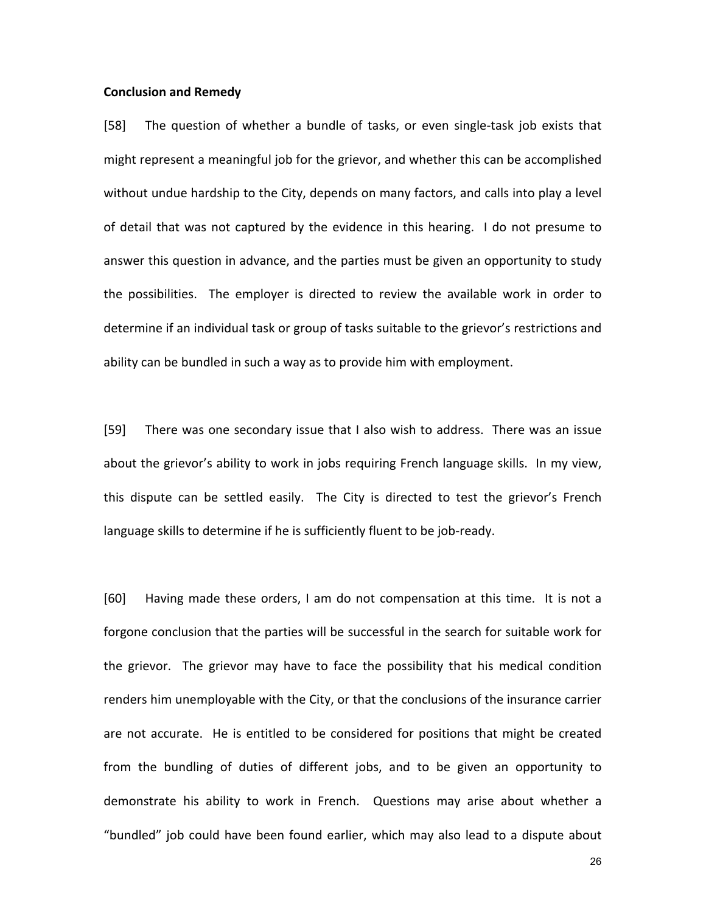#### **Conclusion and Remedy**

[58] The question of whether a bundle of tasks, or even single-task job exists that might represent a meaningful job for the grievor, and whether this can be accomplished without undue hardship to the City, depends on many factors, and calls into play a level of detail that was not captured by the evidence in this hearing. I do not presume to answer this question in advance, and the parties must be given an opportunity to study the possibilities. The employer is directed to review the available work in order to determine if an individual task or group of tasks suitable to the grievor's restrictions and ability can be bundled in such a way as to provide him with employment.

[59] There was one secondary issue that I also wish to address. There was an issue about the grievor's ability to work in jobs requiring French language skills. In my view, this dispute can be settled easily. The City is directed to test the grievor's French language skills to determine if he is sufficiently fluent to be job-ready.

[60] Having made these orders, I am do not compensation at this time. It is not a forgone conclusion that the parties will be successful in the search for suitable work for the grievor. The grievor may have to face the possibility that his medical condition renders him unemployable with the City, or that the conclusions of the insurance carrier are not accurate. He is entitled to be considered for positions that might be created from the bundling of duties of different jobs, and to be given an opportunity to demonstrate his ability to work in French. Questions may arise about whether a "bundled" job could have been found earlier, which may also lead to a dispute about